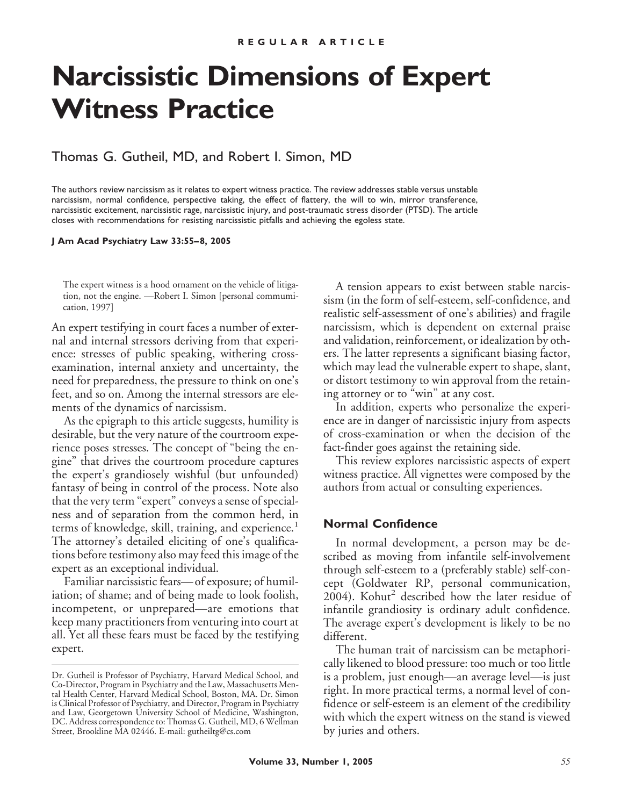# **Narcissistic Dimensions of Expert Witness Practice**

## Thomas G. Gutheil, MD, and Robert I. Simon, MD

The authors review narcissism as it relates to expert witness practice. The review addresses stable versus unstable narcissism, normal confidence, perspective taking, the effect of flattery, the will to win, mirror transference, narcissistic excitement, narcissistic rage, narcissistic injury, and post-traumatic stress disorder (PTSD). The article closes with recommendations for resisting narcissistic pitfalls and achieving the egoless state.

**J Am Acad Psychiatry Law 33:55– 8, 2005**

The expert witness is a hood ornament on the vehicle of litigation, not the engine. —Robert I. Simon [personal commumication, 1997]

An expert testifying in court faces a number of external and internal stressors deriving from that experience: stresses of public speaking, withering crossexamination, internal anxiety and uncertainty, the need for preparedness, the pressure to think on one's feet, and so on. Among the internal stressors are elements of the dynamics of narcissism.

As the epigraph to this article suggests, humility is desirable, but the very nature of the courtroom experience poses stresses. The concept of "being the engine" that drives the courtroom procedure captures the expert's grandiosely wishful (but unfounded) fantasy of being in control of the process. Note also that the very term "expert" conveys a sense of specialness and of separation from the common herd, in terms of knowledge, skill, training, and experience.<sup>1</sup> The attorney's detailed eliciting of one's qualifications before testimony also may feed this image of the expert as an exceptional individual.

Familiar narcissistic fears—of exposure; of humiliation; of shame; and of being made to look foolish, incompetent, or unprepared—are emotions that keep many practitioners from venturing into court at all. Yet all these fears must be faced by the testifying expert.

A tension appears to exist between stable narcissism (in the form of self-esteem, self-confidence, and realistic self-assessment of one's abilities) and fragile narcissism, which is dependent on external praise and validation, reinforcement, or idealization by others. The latter represents a significant biasing factor, which may lead the vulnerable expert to shape, slant, or distort testimony to win approval from the retaining attorney or to "win" at any cost.

In addition, experts who personalize the experience are in danger of narcissistic injury from aspects of cross-examination or when the decision of the fact-finder goes against the retaining side.

This review explores narcissistic aspects of expert witness practice. All vignettes were composed by the authors from actual or consulting experiences.

### **Normal Confidence**

In normal development, a person may be described as moving from infantile self-involvement through self-esteem to a (preferably stable) self-concept (Goldwater RP, personal communication,  $2004$ ). Kohut<sup>2</sup> described how the later residue of infantile grandiosity is ordinary adult confidence. The average expert's development is likely to be no different.

The human trait of narcissism can be metaphorically likened to blood pressure: too much or too little is a problem, just enough—an average level—is just right. In more practical terms, a normal level of confidence or self-esteem is an element of the credibility with which the expert witness on the stand is viewed by juries and others.

Dr. Gutheil is Professor of Psychiatry, Harvard Medical School, and Co-Director, Program in Psychiatry and the Law, Massachusetts Mental Health Center, Harvard Medical School, Boston, MA. Dr. Simon is Clinical Professor of Psychiatry, and Director, Program in Psychiatry and Law, Georgetown University School of Medicine, Washington, DC. Address correspondence to: Thomas G. Gutheil, MD, 6 Wellman Street, Brookline MA 02446. E-mail: gutheiltg@cs.com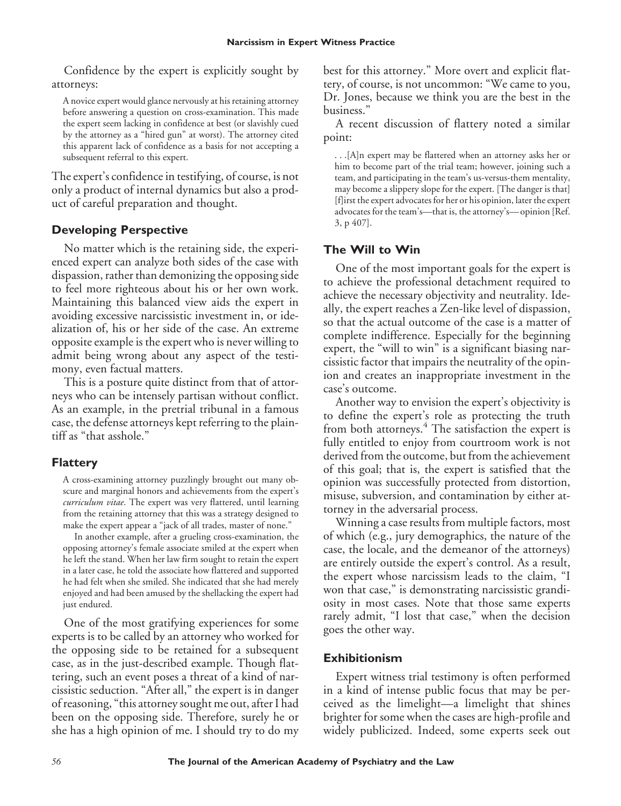Confidence by the expert is explicitly sought by attorneys:

A novice expert would glance nervously at his retaining attorney before answering a question on cross-examination. This made the expert seem lacking in confidence at best (or slavishly cued by the attorney as a "hired gun" at worst). The attorney cited this apparent lack of confidence as a basis for not accepting a subsequent referral to this expert.

The expert's confidence in testifying, of course, is not only a product of internal dynamics but also a product of careful preparation and thought.

# **Developing Perspective**

No matter which is the retaining side, the experienced expert can analyze both sides of the case with dispassion, rather than demonizing the opposing side to feel more righteous about his or her own work. Maintaining this balanced view aids the expert in avoiding excessive narcissistic investment in, or idealization of, his or her side of the case. An extreme opposite example is the expert who is never willing to admit being wrong about any aspect of the testimony, even factual matters.

This is a posture quite distinct from that of attorneys who can be intensely partisan without conflict. As an example, in the pretrial tribunal in a famous case, the defense attorneys kept referring to the plaintiff as "that asshole."

# **Flattery**

A cross-examining attorney puzzlingly brought out many obscure and marginal honors and achievements from the expert's *curriculum vitae*. The expert was very flattered, until learning from the retaining attorney that this was a strategy designed to make the expert appear a "jack of all trades, master of none."

In another example, after a grueling cross-examination, the opposing attorney's female associate smiled at the expert when he left the stand. When her law firm sought to retain the expert in a later case, he told the associate how flattered and supported he had felt when she smiled. She indicated that she had merely enjoyed and had been amused by the shellacking the expert had just endured.

One of the most gratifying experiences for some experts is to be called by an attorney who worked for the opposing side to be retained for a subsequent case, as in the just-described example. Though flattering, such an event poses a threat of a kind of narcissistic seduction. "After all," the expert is in danger of reasoning, "this attorney sought me out, after I had been on the opposing side. Therefore, surely he or she has a high opinion of me. I should try to do my best for this attorney." More overt and explicit flattery, of course, is not uncommon: "We came to you, Dr. Jones, because we think you are the best in the business."

A recent discussion of flattery noted a similar point:

. . .[A]n expert may be flattered when an attorney asks her or him to become part of the trial team; however, joining such a team, and participating in the team's us-versus-them mentality, may become a slippery slope for the expert. [The danger is that] [f]irst the expert advocates for her or his opinion, later the expert advocates for the team's—that is, the attorney's—opinion [Ref. 3, p 407].

# **The Will to Win**

One of the most important goals for the expert is to achieve the professional detachment required to achieve the necessary objectivity and neutrality. Ideally, the expert reaches a Zen-like level of dispassion, so that the actual outcome of the case is a matter of complete indifference. Especially for the beginning expert, the "will to win" is a significant biasing narcissistic factor that impairs the neutrality of the opinion and creates an inappropriate investment in the case's outcome.

Another way to envision the expert's objectivity is to define the expert's role as protecting the truth from both attorneys.<sup>4</sup> The satisfaction the expert is fully entitled to enjoy from courtroom work is not derived from the outcome, but from the achievement of this goal; that is, the expert is satisfied that the opinion was successfully protected from distortion, misuse, subversion, and contamination by either attorney in the adversarial process.

Winning a case results from multiple factors, most of which (e.g., jury demographics, the nature of the case, the locale, and the demeanor of the attorneys) are entirely outside the expert's control. As a result, the expert whose narcissism leads to the claim, "I won that case," is demonstrating narcissistic grandiosity in most cases. Note that those same experts rarely admit, "I lost that case," when the decision goes the other way.

# **Exhibitionism**

Expert witness trial testimony is often performed in a kind of intense public focus that may be perceived as the limelight—a limelight that shines brighter for some when the cases are high-profile and widely publicized. Indeed, some experts seek out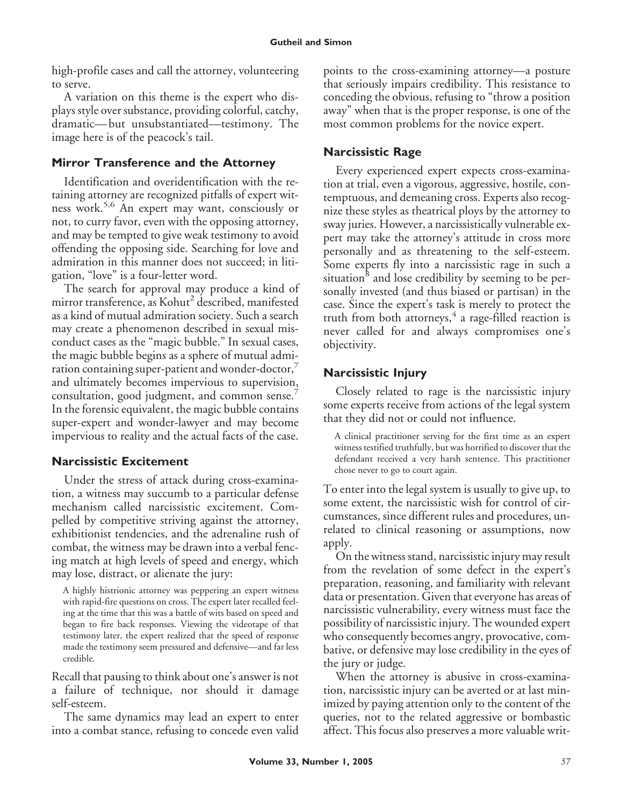high-profile cases and call the attorney, volunteering to serve.

A variation on this theme is the expert who displays style over substance, providing colorful, catchy, dramatic— but unsubstantiated—testimony. The image here is of the peacock's tail.

# **Mirror Transference and the Attorney**

Identification and overidentification with the retaining attorney are recognized pitfalls of expert witness work.5,6 An expert may want, consciously or not, to curry favor, even with the opposing attorney, and may be tempted to give weak testimony to avoid offending the opposing side. Searching for love and admiration in this manner does not succeed; in litigation, "love" is a four-letter word.

The search for approval may produce a kind of mirror transference, as Kohut<sup>2</sup> described, manifested as a kind of mutual admiration society. Such a search may create a phenomenon described in sexual misconduct cases as the "magic bubble." In sexual cases, the magic bubble begins as a sphere of mutual admiration containing super-patient and wonder-doctor, and ultimately becomes impervious to supervision, consultation, good judgment, and common sense.<sup>7</sup> In the forensic equivalent, the magic bubble contains super-expert and wonder-lawyer and may become impervious to reality and the actual facts of the case.

# **Narcissistic Excitement**

Under the stress of attack during cross-examination, a witness may succumb to a particular defense mechanism called narcissistic excitement. Compelled by competitive striving against the attorney, exhibitionist tendencies, and the adrenaline rush of combat, the witness may be drawn into a verbal fencing match at high levels of speed and energy, which may lose, distract, or alienate the jury:

A highly histrionic attorney was peppering an expert witness with rapid-fire questions on cross. The expert later recalled feeling at the time that this was a battle of wits based on speed and began to fire back responses. Viewing the videotape of that testimony later, the expert realized that the speed of response made the testimony seem pressured and defensive—and far less credible.

Recall that pausing to think about one's answer is not a failure of technique, nor should it damage self-esteem.

The same dynamics may lead an expert to enter into a combat stance, refusing to concede even valid points to the cross-examining attorney—a posture that seriously impairs credibility. This resistance to conceding the obvious, refusing to "throw a position away" when that is the proper response, is one of the most common problems for the novice expert.

# **Narcissistic Rage**

Every experienced expert expects cross-examination at trial, even a vigorous, aggressive, hostile, contemptuous, and demeaning cross. Experts also recognize these styles as theatrical ploys by the attorney to sway juries. However, a narcissistically vulnerable expert may take the attorney's attitude in cross more personally and as threatening to the self-esteem. Some experts fly into a narcissistic rage in such a situation<sup>8</sup> and lose credibility by seeming to be personally invested (and thus biased or partisan) in the case. Since the expert's task is merely to protect the truth from both attorneys, $4$  a rage-filled reaction is never called for and always compromises one's objectivity.

# **Narcissistic Injury**

Closely related to rage is the narcissistic injury some experts receive from actions of the legal system that they did not or could not influence.

A clinical practitioner serving for the first time as an expert witness testified truthfully, but was horrified to discover that the defendant received a very harsh sentence. This practitioner chose never to go to court again.

To enter into the legal system is usually to give up, to some extent, the narcissistic wish for control of circumstances, since different rules and procedures, unrelated to clinical reasoning or assumptions, now apply.

On the witness stand, narcissistic injury may result from the revelation of some defect in the expert's preparation, reasoning, and familiarity with relevant data or presentation. Given that everyone has areas of narcissistic vulnerability, every witness must face the possibility of narcissistic injury. The wounded expert who consequently becomes angry, provocative, combative, or defensive may lose credibility in the eyes of the jury or judge.

When the attorney is abusive in cross-examination, narcissistic injury can be averted or at last minimized by paying attention only to the content of the queries, not to the related aggressive or bombastic affect. This focus also preserves a more valuable writ